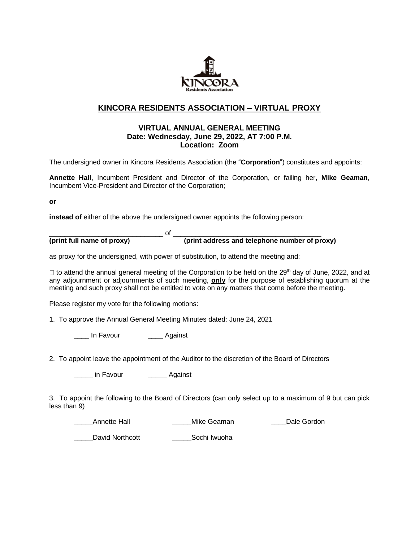

# **KINCORA RESIDENTS ASSOCIATION – VIRTUAL PROXY**

### **VIRTUAL ANNUAL GENERAL MEETING Date: Wednesday, June 29, 2022, AT 7:00 P.M. Location: Zoom**

The undersigned owner in Kincora Residents Association (the "**Corporation**") constitutes and appoints:

**Annette Hall**, Incumbent President and Director of the Corporation, or failing her, **Mike Geaman**, Incumbent Vice-President and Director of the Corporation;

**or**

**instead of** either of the above the undersigned owner appoints the following person:

\_\_\_\_\_\_\_\_\_\_\_\_\_\_\_\_\_\_\_\_\_\_\_\_\_\_\_\_\_\_ of \_\_\_\_\_\_\_\_\_\_\_\_\_\_\_\_\_\_\_\_\_\_\_\_\_\_\_\_\_\_\_\_\_\_\_\_\_\_\_ **(print full name of proxy) (print address and telephone number of proxy)**

as proxy for the undersigned, with power of substitution, to attend the meeting and:

to attend the annual general meeting of the Corporation to be held on the 29<sup>th</sup> day of June, 2022, and at any adjournment or adjournments of such meeting, **only** for the purpose of establishing quorum at the meeting and such proxy shall not be entitled to vote on any matters that come before the meeting.

Please register my vote for the following motions:

1. To approve the Annual General Meeting Minutes dated: June 24, 2021

\_\_\_\_ In Favour \_\_\_\_ Against

2. To appoint leave the appointment of the Auditor to the discretion of the Board of Directors

\_\_\_\_\_ in Favour \_\_\_\_\_ Against

3. To appoint the following to the Board of Directors (can only select up to a maximum of 9 but can pick less than 9)

external annette Hall **Example 20 announce** Mike Geaman **Nike Gordon** Dale Gordon

David Northcott **Sochi Iwuoha**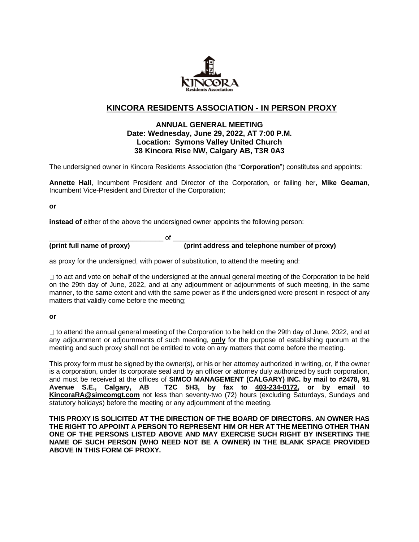

## **KINCORA RESIDENTS ASSOCIATION - IN PERSON PROXY**

## **ANNUAL GENERAL MEETING Date: Wednesday, June 29, 2022, AT 7:00 P.M. Location: Symons Valley United Church 38 Kincora Rise NW, Calgary AB, T3R 0A3**

The undersigned owner in Kincora Residents Association (the "**Corporation**") constitutes and appoints:

**Annette Hall**, Incumbent President and Director of the Corporation, or failing her, **Mike Geaman**, Incumbent Vice-President and Director of the Corporation;

**or**

**instead of** either of the above the undersigned owner appoints the following person:

\_\_\_\_\_\_\_\_\_\_\_\_\_\_\_\_\_\_\_\_\_\_\_\_\_\_\_\_\_\_ of \_\_\_\_\_\_\_\_\_\_\_\_\_\_\_\_\_\_\_\_\_\_\_\_\_\_\_\_\_\_\_\_\_\_\_\_\_\_\_ **(print full name of proxy) (print address and telephone number of proxy)**

as proxy for the undersigned, with power of substitution, to attend the meeting and:

 $\Box$  to act and vote on behalf of the undersigned at the annual general meeting of the Corporation to be held on the 29th day of June, 2022, and at any adjournment or adjournments of such meeting, in the same manner, to the same extent and with the same power as if the undersigned were present in respect of any matters that validly come before the meeting;

#### **or**

 $\Box$  to attend the annual general meeting of the Corporation to be held on the 29th day of June, 2022, and at any adjournment or adjournments of such meeting, **only** for the purpose of establishing quorum at the meeting and such proxy shall not be entitled to vote on any matters that come before the meeting.

This proxy form must be signed by the owner(s), or his or her attorney authorized in writing, or, if the owner is a corporation, under its corporate seal and by an officer or attorney duly authorized by such corporation, and must be received at the offices of **SIMCO MANAGEMENT (CALGARY) INC. by mail to #2478, 91 Avenue S.E., Calgary, AB T2C 5H3, by fax to 403-234-0172, or by email to KincoraRA@simcomgt.com** not less than seventy-two (72) hours (excluding Saturdays, Sundays and statutory holidays) before the meeting or any adjournment of the meeting.

**THIS PROXY IS SOLICITED AT THE DIRECTION OF THE BOARD OF DIRECTORS. AN OWNER HAS THE RIGHT TO APPOINT A PERSON TO REPRESENT HIM OR HER AT THE MEETING OTHER THAN ONE OF THE PERSONS LISTED ABOVE AND MAY EXERCISE SUCH RIGHT BY INSERTING THE NAME OF SUCH PERSON (WHO NEED NOT BE A OWNER) IN THE BLANK SPACE PROVIDED ABOVE IN THIS FORM OF PROXY.**